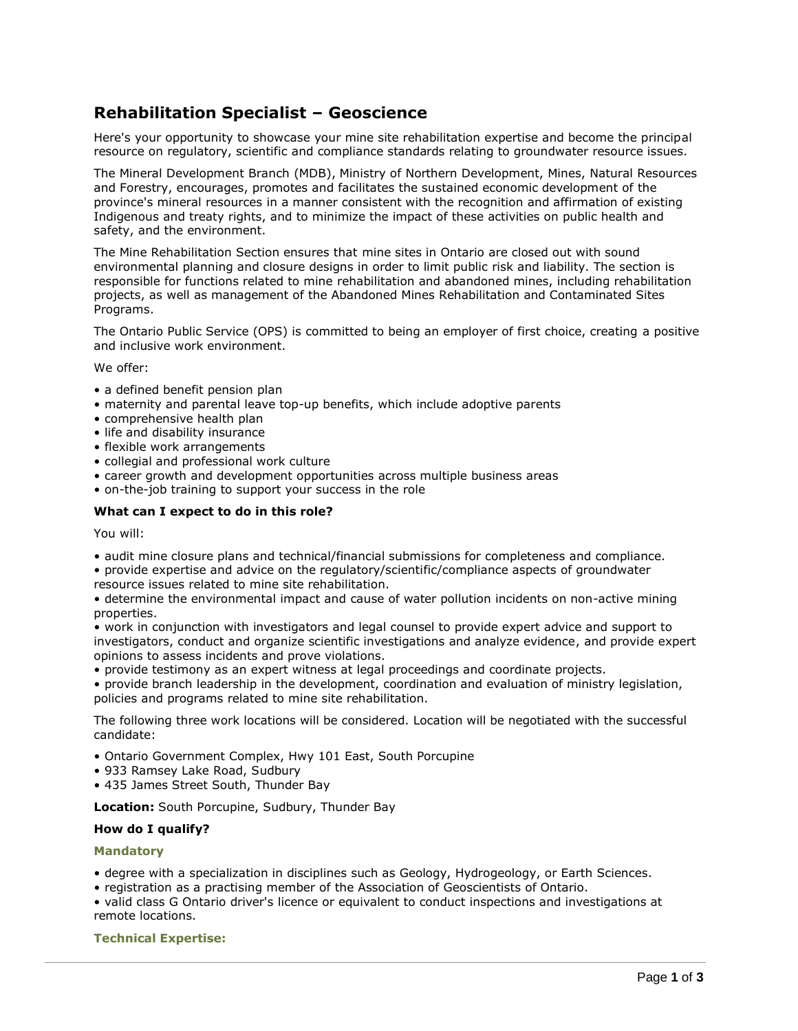# **Rehabilitation Specialist – Geoscience**

Here's your opportunity to showcase your mine site rehabilitation expertise and become the principal resource on regulatory, scientific and compliance standards relating to groundwater resource issues.

The Mineral Development Branch (MDB), Ministry of Northern Development, Mines, Natural Resources and Forestry, encourages, promotes and facilitates the sustained economic development of the province's mineral resources in a manner consistent with the recognition and affirmation of existing Indigenous and treaty rights, and to minimize the impact of these activities on public health and safety, and the environment.

The Mine Rehabilitation Section ensures that mine sites in Ontario are closed out with sound environmental planning and closure designs in order to limit public risk and liability. The section is responsible for functions related to mine rehabilitation and abandoned mines, including rehabilitation projects, as well as management of the Abandoned Mines Rehabilitation and Contaminated Sites Programs.

The Ontario Public Service (OPS) is committed to being an employer of first choice, creating a positive and inclusive work environment.

We offer:

- a defined benefit pension plan
- maternity and parental leave top-up benefits, which include adoptive parents
- comprehensive health plan
- life and disability insurance
- flexible work arrangements
- collegial and professional work culture
- career growth and development opportunities across multiple business areas
- on-the-job training to support your success in the role

## **What can I expect to do in this role?**

You will:

• audit mine closure plans and technical/financial submissions for completeness and compliance.

• provide expertise and advice on the regulatory/scientific/compliance aspects of groundwater resource issues related to mine site rehabilitation.

• determine the environmental impact and cause of water pollution incidents on non-active mining properties.

• work in conjunction with investigators and legal counsel to provide expert advice and support to investigators, conduct and organize scientific investigations and analyze evidence, and provide expert opinions to assess incidents and prove violations.

• provide testimony as an expert witness at legal proceedings and coordinate projects.

• provide branch leadership in the development, coordination and evaluation of ministry legislation, policies and programs related to mine site rehabilitation.

The following three work locations will be considered. Location will be negotiated with the successful candidate:

- Ontario Government Complex, Hwy 101 East, South Porcupine
- 933 Ramsey Lake Road, Sudbury
- 435 James Street South, Thunder Bay

**Location:** South Porcupine, Sudbury, Thunder Bay

## **How do I qualify?**

## **Mandatory**

- degree with a specialization in disciplines such as Geology, Hydrogeology, or Earth Sciences.
- registration as a practising member of the Association of Geoscientists of Ontario.
- valid class G Ontario driver's licence or equivalent to conduct inspections and investigations at remote locations.

## **Technical Expertise:**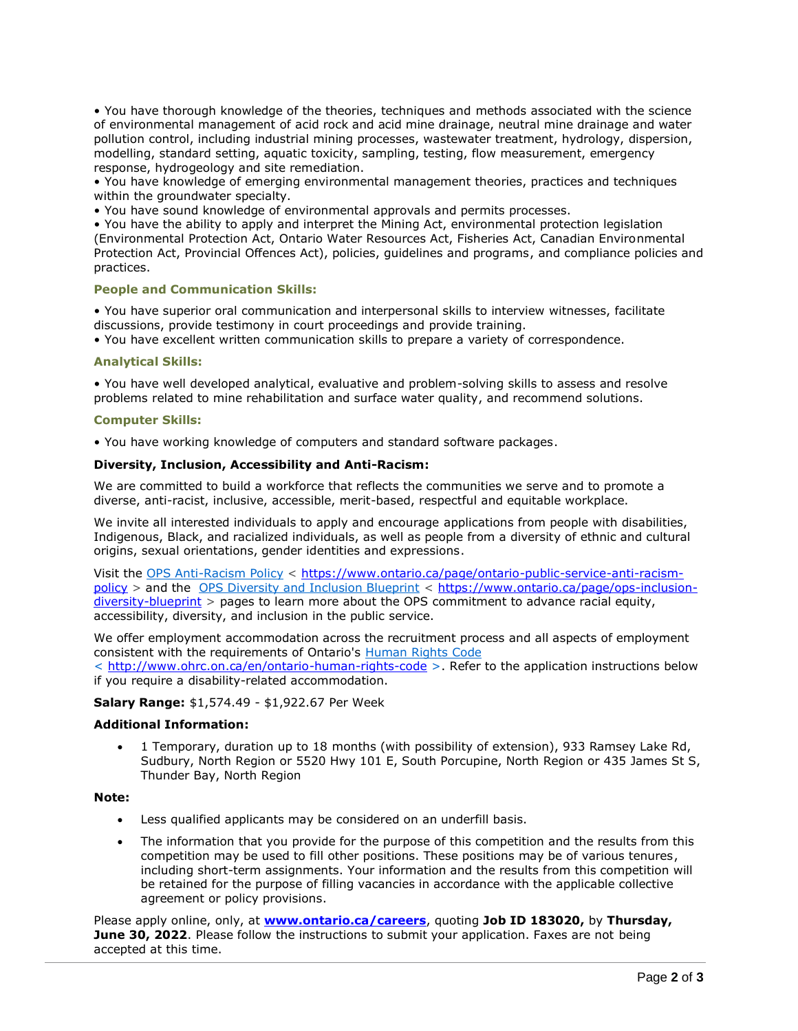• You have thorough knowledge of the theories, techniques and methods associated with the science of environmental management of acid rock and acid mine drainage, neutral mine drainage and water pollution control, including industrial mining processes, wastewater treatment, hydrology, dispersion, modelling, standard setting, aquatic toxicity, sampling, testing, flow measurement, emergency response, hydrogeology and site remediation.

• You have knowledge of emerging environmental management theories, practices and techniques within the groundwater specialty.

• You have sound knowledge of environmental approvals and permits processes.

• You have the ability to apply and interpret the Mining Act, environmental protection legislation (Environmental Protection Act, Ontario Water Resources Act, Fisheries Act, Canadian Environmental Protection Act, Provincial Offences Act), policies, guidelines and programs, and compliance policies and practices.

## **People and Communication Skills:**

• You have superior oral communication and interpersonal skills to interview witnesses, facilitate discussions, provide testimony in court proceedings and provide training.

• You have excellent written communication skills to prepare a variety of correspondence.

## **Analytical Skills:**

• You have well developed analytical, evaluative and problem-solving skills to assess and resolve problems related to mine rehabilitation and surface water quality, and recommend solutions.

## **Computer Skills:**

• You have working knowledge of computers and standard software packages.

## **Diversity, Inclusion, Accessibility and Anti-Racism:**

We are committed to build a workforce that reflects the communities we serve and to promote a diverse, anti-racist, inclusive, accessible, merit-based, respectful and equitable workplace.

We invite all interested individuals to apply and encourage applications from people with disabilities, Indigenous, Black, and racialized individuals, as well as people from a diversity of ethnic and cultural origins, sexual orientations, gender identities and expressions.

Visit the [OPS Anti-Racism Policy](https://www.ontario.ca/page/ontario-public-service-anti-racism-policy) < [https://www.ontario.ca/page/ontario-public-service-anti-racism](https://www.ontario.ca/page/ontario-public-service-anti-racism-policy)[policy](https://www.ontario.ca/page/ontario-public-service-anti-racism-policy) > and the [OPS Diversity and Inclusion Blueprint](https://www.ontario.ca/page/ops-inclusion-diversity-blueprint) < [https://www.ontario.ca/page/ops-inclusion](https://www.ontario.ca/page/ops-inclusion-diversity-blueprint)[diversity-blueprint](https://www.ontario.ca/page/ops-inclusion-diversity-blueprint) > pages to learn more about the OPS commitment to advance racial equity, accessibility, diversity, and inclusion in the public service.

We offer employment accommodation across the recruitment process and all aspects of employment consistent with the requirements of Ontario's [Human Rights Code](http://www.ohrc.on.ca/en/ontario-human-rights-code) < <http://www.ohrc.on.ca/en/ontario-human-rights-code> >. Refer to the application instructions below if you require a disability-related accommodation.

## **Salary Range:** \$1,574.49 - \$1,922.67 Per Week

## **Additional Information:**

• 1 Temporary, duration up to 18 months (with possibility of extension), 933 Ramsey Lake Rd, Sudbury, North Region or 5520 Hwy 101 E, South Porcupine, North Region or 435 James St S, Thunder Bay, North Region

## **Note:**

- Less qualified applicants may be considered on an underfill basis.
- The information that you provide for the purpose of this competition and the results from this competition may be used to fill other positions. These positions may be of various tenures, including short-term assignments. Your information and the results from this competition will be retained for the purpose of filling vacancies in accordance with the applicable collective agreement or policy provisions.

Please apply online, only, at **[www.ontario.ca/careers](http://www.ontario.ca/careers)**, quoting **Job ID 183020,** by **Thursday, June 30, 2022**. Please follow the instructions to submit your application. Faxes are not being accepted at this time.